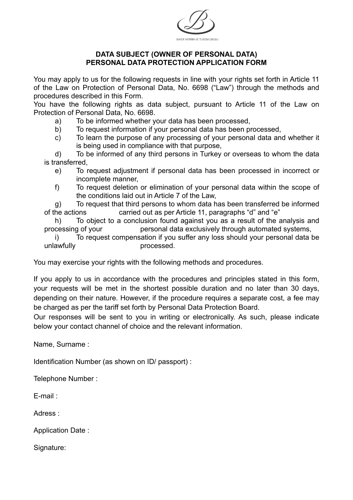

## **DATA SUBJECT (OWNER OF PERSONAL DATA) PERSONAL DATA PROTECTION APPLICATION FORM**

You may apply to us for the following requests in line with your rights set forth in Article 11 of the Law on Protection of Personal Data, No. 6698 ("Law") through the methods and procedures described in this Form.

You have the following rights as data subject, pursuant to Article 11 of the Law on Protection of Personal Data, No. 6698.

- a) To be informed whether your data has been processed,
- b) To request information if your personal data has been processed,
- c) To learn the purpose of any processing of your personal data and whether it is being used in compliance with that purpose,

 d) To be informed of any third persons in Turkey or overseas to whom the data is transferred,

- e) To request adjustment if personal data has been processed in incorrect or incomplete manner,
- f) To request deletion or elimination of your personal data within the scope of the conditions laid out in Article 7 of the Law,

 g) To request that third persons to whom data has been transferred be informed of the actions carried out as per Article 11, paragraphs "d" and "e"

 h) To object to a conclusion found against you as a result of the analysis and processing of your personal data exclusively through automated systems,

 i) To request compensation if you suffer any loss should your personal data be unlawfully processed.

You may exercise your rights with the following methods and procedures.

If you apply to us in accordance with the procedures and principles stated in this form, your requests will be met in the shortest possible duration and no later than 30 days, depending on their nature. However, if the procedure requires a separate cost, a fee may be charged as per the tariff set forth by Personal Data Protection Board.

Our responses will be sent to you in writing or electronically. As such, please indicate below your contact channel of choice and the relevant information.

Name, Surname :

Identification Number (as shown on ID/ passport) :

Telephone Number :

E-mail :

Adress :

Application Date :

Signature: